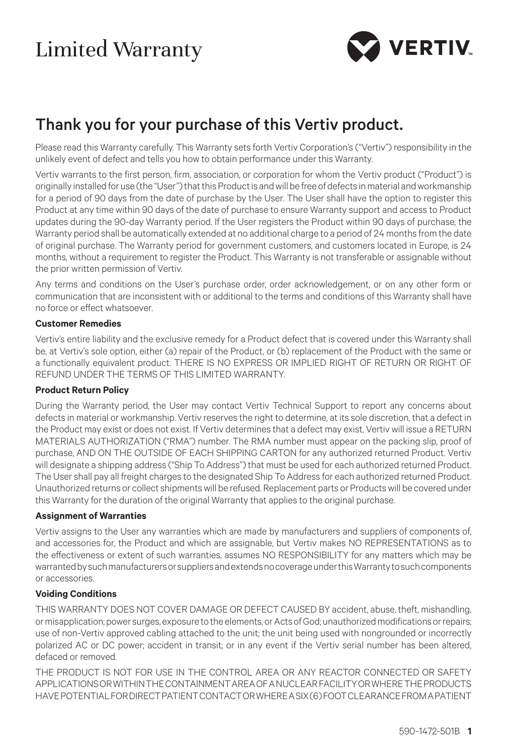# Limited Warranty



# Thank you for your purchase of this Vertiv product.

Please read this Warranty carefully. This Warranty sets forth Vertiv Corporation's ("Vertiv") responsibility in the unlikely event of defect and tells you how to obtain performance under this Warranty.

Vertiv warrants to the first person, firm, association, or corporation for whom the Vertiv product ("Product") is originally installed for use (the "User") that this Product is and will be free of defects in material and workmanship for a period of 90 days from the date of purchase by the User. The User shall have the option to register this Product at any time within 90 days of the date of purchase to ensure Warranty support and access to Product updates during the 90-day Warranty period. If the User registers the Product within 90 days of purchase, the Warranty period shall be automatically extended at no additional charge to a period of 24 months from the date of original purchase. The Warranty period for government customers, and customers located in Europe, is 24 months, without a requirement to register the Product. This Warranty is not transferable or assignable without the prior written permission of Vertiv.

Any terms and conditions on the User's purchase order, order acknowledgement, or on any other form or communication that are inconsistent with or additional to the terms and conditions of this Warranty shall have no force or effect whatsoever.

#### **Customer Remedies**

Vertiv's entire liability and the exclusive remedy for a Product defect that is covered under this Warranty shall be, at Vertiv's sole option, either (a) repair of the Product, or (b) replacement of the Product with the same or a functionally equivalent product. THERE IS NO EXPRESS OR IMPLIED RIGHT OF RETURN OR RIGHT OF REFUND UNDER THE TERMS OF THIS LIMITED WARRANTY.

## **Product Return Policy**

During the Warranty period, the User may contact Vertiv Technical Support to report any concerns about defects in material or workmanship. Vertiv reserves the right to determine, at its sole discretion, that a defect in the Product may exist or does not exist. If Vertiv determines that a defect may exist, Vertiv will issue a RETURN MATERIALS AUTHORIZATION ("RMA") number. The RMA number must appear on the packing slip, proof of purchase, AND ON THE OUTSIDE OF EACH SHIPPING CARTON for any authorized returned Product. Vertiv will designate a shipping address ("Ship To Address") that must be used for each authorized returned Product. The User shall pay all freight charges to the designated Ship To Address for each authorized returned Product. Unauthorized returns or collect shipments will be refused. Replacement parts or Products will be covered under this Warranty for the duration of the original Warranty that applies to the original purchase.

#### **Assignment of Warranties**

Vertiv assigns to the User any warranties which are made by manufacturers and suppliers of components of, and accessories for, the Product and which are assignable, but Vertiv makes NO REPRESENTATIONS as to the effectiveness or extent of such warranties, assumes NO RESPONSIBILITY for any matters which may be warranted by such manufacturers or suppliers and extends no coverage under this Warranty to such components or accessories.

#### **Voiding Conditions**

THIS WARRANTY DOES NOT COVER DAMAGE OR DEFECT CAUSED BY accident, abuse, theft, mishandling, or misapplication; power surges, exposure to the elements, or Acts of God; unauthorized modifications or repairs; use of non-Vertiv approved cabling attached to the unit; the unit being used with nongrounded or incorrectly polarized AC or DC power; accident in transit; or in any event if the Vertiv serial number has been altered, defaced or removed.

THE PRODUCT IS NOT FOR USE IN THE CONTROL AREA OR ANY REACTOR CONNECTED OR SAFETY APPLICATIONS OR WITHIN THE CONTAINMENT AREA OF A NUCLEAR FACILITY OR WHERE THE PRODUCTS HAVE POTENTIAL FOR DIRECT PATIENT CONTACT OR WHERE A SIX (6) FOOT CLEARANCE FROM A PATIENT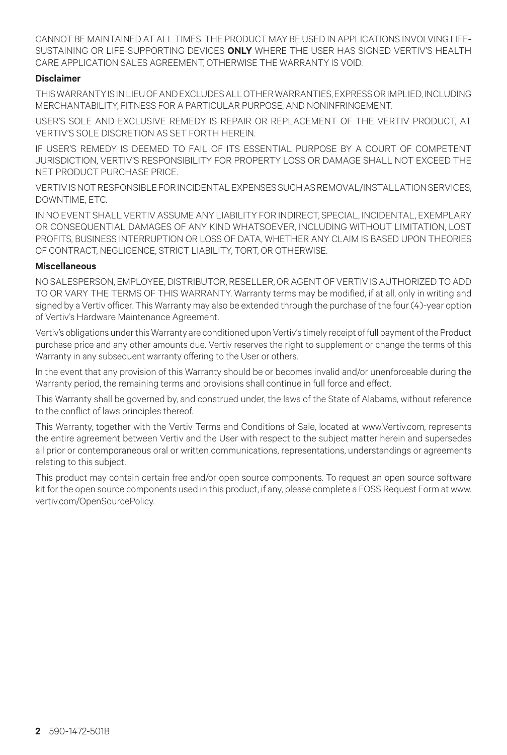CANNOT BE MAINTAINED AT ALL TIMES. THE PRODUCT MAY BE USED IN APPLICATIONS INVOLVING LIFE-SUSTAINING OR LIFE-SUPPORTING DEVICES **ONLY** WHERE THE USER HAS SIGNED VERTIV'S HEALTH CARE APPLICATION SALES AGREEMENT, OTHERWISE THE WARRANTY IS VOID.

## **Disclaimer**

THIS WARRANTY IS IN LIEU OF AND EXCLUDES ALL OTHER WARRANTIES, EXPRESS OR IMPLIED, INCLUDING MERCHANTABILITY, FITNESS FOR A PARTICULAR PURPOSE, AND NONINFRINGEMENT.

USER'S SOLE AND EXCLUSIVE REMEDY IS REPAIR OR REPLACEMENT OF THE VERTIV PRODUCT, AT VERTIV'S SOLE DISCRETION AS SET FORTH HEREIN.

IF USER'S REMEDY IS DEEMED TO FAIL OF ITS ESSENTIAL PURPOSE BY A COURT OF COMPETENT JURISDICTION, VERTIV'S RESPONSIBILITY FOR PROPERTY LOSS OR DAMAGE SHALL NOT EXCEED THE NET PRODUCT PURCHASE PRICE.

VERTIV IS NOT RESPONSIBLE FOR INCIDENTAL EXPENSES SUCH AS REMOVAL/INSTALLATION SERVICES, DOWNTIME, ETC.

IN NO EVENT SHALL VERTIV ASSUME ANY LIABILITY FOR INDIRECT, SPECIAL, INCIDENTAL, EXEMPLARY OR CONSEQUENTIAL DAMAGES OF ANY KIND WHATSOEVER, INCLUDING WITHOUT LIMITATION, LOST PROFITS, BUSINESS INTERRUPTION OR LOSS OF DATA, WHETHER ANY CLAIM IS BASED UPON THEORIES OF CONTRACT, NEGLIGENCE, STRICT LIABILITY, TORT, OR OTHERWISE.

#### **Miscellaneous**

NO SALESPERSON, EMPLOYEE, DISTRIBUTOR, RESELLER, OR AGENT OF VERTIV IS AUTHORIZED TO ADD TO OR VARY THE TERMS OF THIS WARRANTY. Warranty terms may be modified, if at all, only in writing and signed by a Vertiv officer. This Warranty may also be extended through the purchase of the four (4)-year option of Vertiv's Hardware Maintenance Agreement.

Vertiv's obligations under this Warranty are conditioned upon Vertiv's timely receipt of full payment of the Product purchase price and any other amounts due. Vertiv reserves the right to supplement or change the terms of this Warranty in any subsequent warranty offering to the User or others.

In the event that any provision of this Warranty should be or becomes invalid and/or unenforceable during the Warranty period, the remaining terms and provisions shall continue in full force and effect.

This Warranty shall be governed by, and construed under, the laws of the State of Alabama, without reference to the conflict of laws principles thereof.

This Warranty, together with the Vertiv Terms and Conditions of Sale, located at www.Vertiv.com, represents the entire agreement between Vertiv and the User with respect to the subject matter herein and supersedes all prior or contemporaneous oral or written communications, representations, understandings or agreements relating to this subject.

This product may contain certain free and/or open source components. To request an open source software kit for the open source components used in this product, if any, please complete a FOSS Request Form at www. vertiv.com/OpenSourcePolicy.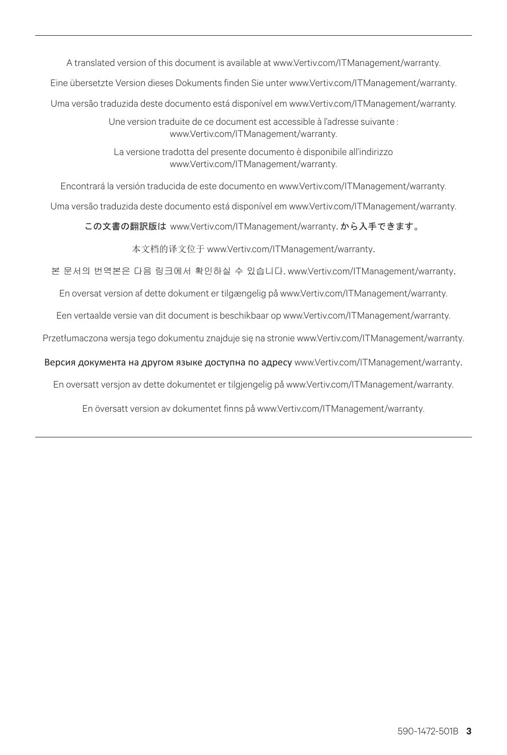A translated version of this document is available at www.Vertiv.com/ITManagement/warranty.

Eine übersetzte Version dieses Dokuments finden Sie unter www.Vertiv.com/ITManagement/warranty.

Uma versão traduzida deste documento está disponível em www.Vertiv.com/ITManagement/warranty.

Une version traduite de ce document est accessible à l'adresse suivante : www.Vertiv.com/ITManagement/warranty.

La versione tradotta del presente documento è disponibile all'indirizzo www.Vertiv.com/ITManagement/warranty.

Encontrará la versión traducida de este documento en www.Vertiv.com/ITManagement/warranty.

Uma versão traduzida deste documento está disponível em www.Vertiv.com/ITManagement/warranty.

この文書の翻訳版は www.Vertiv.com/ITManagement/warranty. から入手できます。

本文档的译文位于 www.Vertiv.com/ITManagement/warranty.

본 문서의 번역본은 다음 링크에서 확인하실 수 있습니다. www.Vertiv.com/ITManagement/warranty.

En oversat version af dette dokument er tilgængelig på www.Vertiv.com/ITManagement/warranty.

Een vertaalde versie van dit document is beschikbaar op www.Vertiv.com/ITManagement/warranty.

Przetłumaczona wersja tego dokumentu znajduje się na stronie www.Vertiv.com/ITManagement/warranty.

Версия документа на другом языке доступна по адресу www.Vertiv.com/ITManagement/warranty.

En oversatt versjon av dette dokumentet er tilgjengelig på www.Vertiv.com/ITManagement/warranty.

En översatt version av dokumentet finns på www.Vertiv.com/ITManagement/warranty.